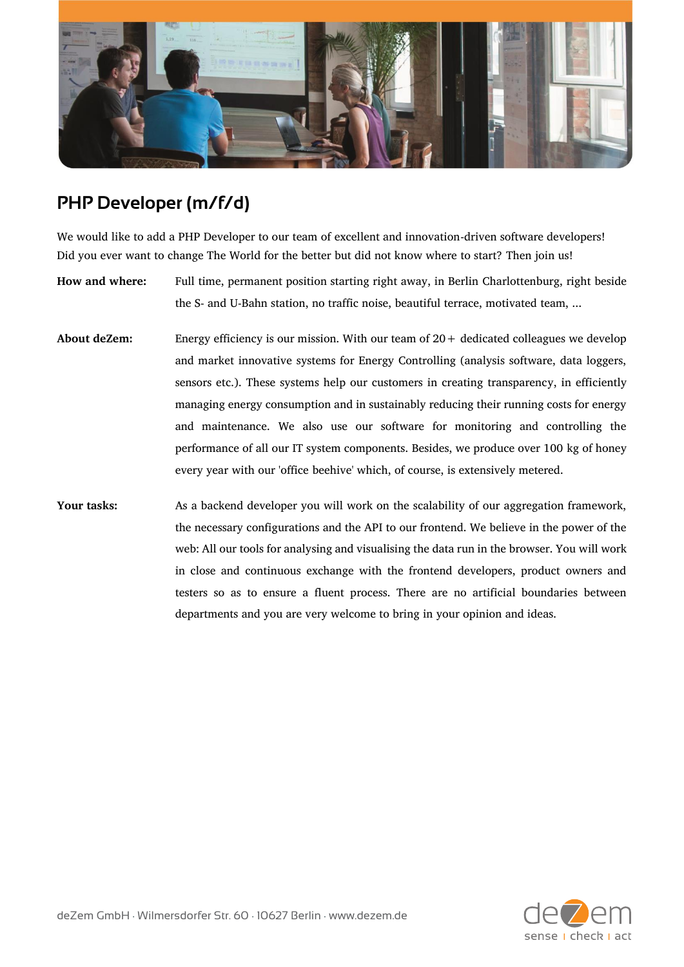

## **PHP Developer (m/f/d)**

We would like to add a PHP Developer to our team of excellent and innovation-driven software developers! Did you ever want to change The World for the better but did not know where to start? Then join us!

**How and where:** Full time, permanent position starting right away, in Berlin Charlottenburg, right beside the S- and U-Bahn station, no traffic noise, beautiful terrace, motivated team, ...

- **About deZem:** Energy efficiency is our mission. With our team of 20+ dedicated colleagues we develop and market innovative systems for Energy Controlling (analysis software, data loggers, sensors etc.). These systems help our customers in creating transparency, in efficiently managing energy consumption and in sustainably reducing their running costs for energy and maintenance. We also use our software for monitoring and controlling the performance of all our IT system components. Besides, we produce over 100 kg of honey every year with our 'office beehive' which, of course, is extensively metered.
- **Your tasks:** As a backend developer you will work on the scalability of our aggregation framework, the necessary configurations and the API to our frontend. We believe in the power of the web: All our tools for analysing and visualising the data run in the browser. You will work in close and continuous exchange with the frontend developers, product owners and testers so as to ensure a fluent process. There are no artificial boundaries between departments and you are very welcome to bring in your opinion and ideas.